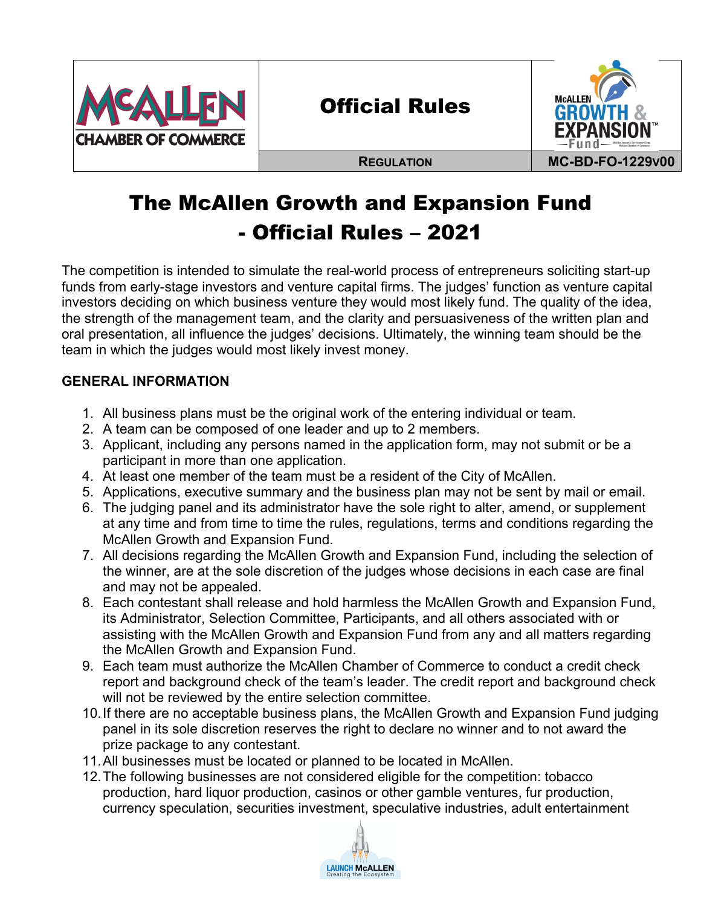

# Official Rules



# The McAllen Growth and Expansion Fund - Official Rules – 2021

The competition is intended to simulate the real-world process of entrepreneurs soliciting start-up funds from early-stage investors and venture capital firms. The judges' function as venture capital investors deciding on which business venture they would most likely fund. The quality of the idea, the strength of the management team, and the clarity and persuasiveness of the written plan and oral presentation, all influence the judges' decisions. Ultimately, the winning team should be the team in which the judges would most likely invest money.

## **GENERAL INFORMATION**

- 1. All business plans must be the original work of the entering individual or team.
- 2. A team can be composed of one leader and up to 2 members.
- 3. Applicant, including any persons named in the application form, may not submit or be a participant in more than one application.
- 4. At least one member of the team must be a resident of the City of McAllen.
- 5. Applications, executive summary and the business plan may not be sent by mail or email.
- 6. The judging panel and its administrator have the sole right to alter, amend, or supplement at any time and from time to time the rules, regulations, terms and conditions regarding the McAllen Growth and Expansion Fund.
- 7. All decisions regarding the McAllen Growth and Expansion Fund, including the selection of the winner, are at the sole discretion of the judges whose decisions in each case are final and may not be appealed.
- 8. Each contestant shall release and hold harmless the McAllen Growth and Expansion Fund, its Administrator, Selection Committee, Participants, and all others associated with or assisting with the McAllen Growth and Expansion Fund from any and all matters regarding the McAllen Growth and Expansion Fund.
- 9. Each team must authorize the McAllen Chamber of Commerce to conduct a credit check report and background check of the team's leader. The credit report and background check will not be reviewed by the entire selection committee.
- 10.If there are no acceptable business plans, the McAllen Growth and Expansion Fund judging panel in its sole discretion reserves the right to declare no winner and to not award the prize package to any contestant.
- 11.All businesses must be located or planned to be located in McAllen.
- 12.The following businesses are not considered eligible for the competition: tobacco production, hard liquor production, casinos or other gamble ventures, fur production, currency speculation, securities investment, speculative industries, adult entertainment

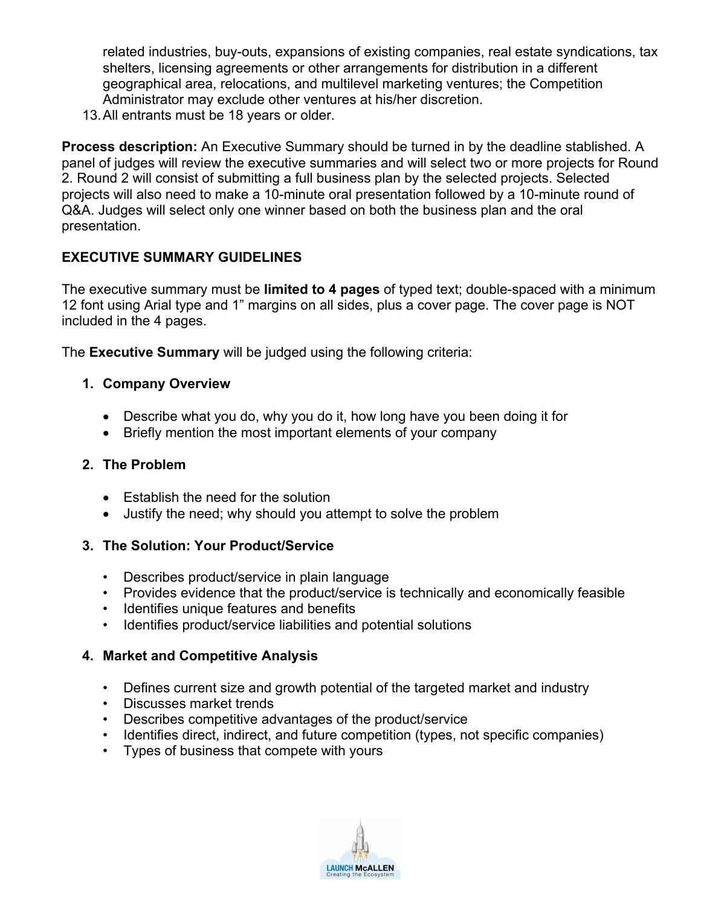related industries, buy-outs, expansions of existing companies, real estate syndications, tax shelters, licensing agreements or other arrangements for distribution in a different geographical area, relocations, and multilevel marketing ventures; the Competition Administrator may exclude other ventures at his/her discretion.

13.All entrants must be 18 years or older.

**Process description:** An Executive Summary should be turned in by the deadline stablished. A panel of judges will review the executive summaries and will select two or more projects for Round 2. Round 2 will consist of submitting a full business plan by the selected projects. Selected projects will also need to make a 10-minute oral presentation followed by a 10-minute round of Q&A. Judges will select only one winner based on both the business plan and the oral presentation.

## **EXECUTIVE SUMMARY GUIDELINES**

The executive summary must be **limited to 4 pages** of typed text; double-spaced with a minimum 12 font using Arial type and 1" margins on all sides, plus a cover page. The cover page is NOT included in the 4 pages.

The **Executive Summary** will be judged using the following criteria:

## **1. Company Overview**

- Describe what you do, why you do it, how long have you been doing it for
- Briefly mention the most important elements of your company

### **2. The Problem**

- Establish the need for the solution
- Justify the need; why should you attempt to solve the problem

## **3. The Solution: Your Product/Service**

- Describes product/service in plain language
- Provides evidence that the product/service is technically and economically feasible
- Identifies unique features and benefits
- Identifies product/service liabilities and potential solutions

## **4. Market and Competitive Analysis**

- Defines current size and growth potential of the targeted market and industry
- Discusses market trends
- Describes competitive advantages of the product/service
- Identifies direct, indirect, and future competition (types, not specific companies)
- Types of business that compete with yours

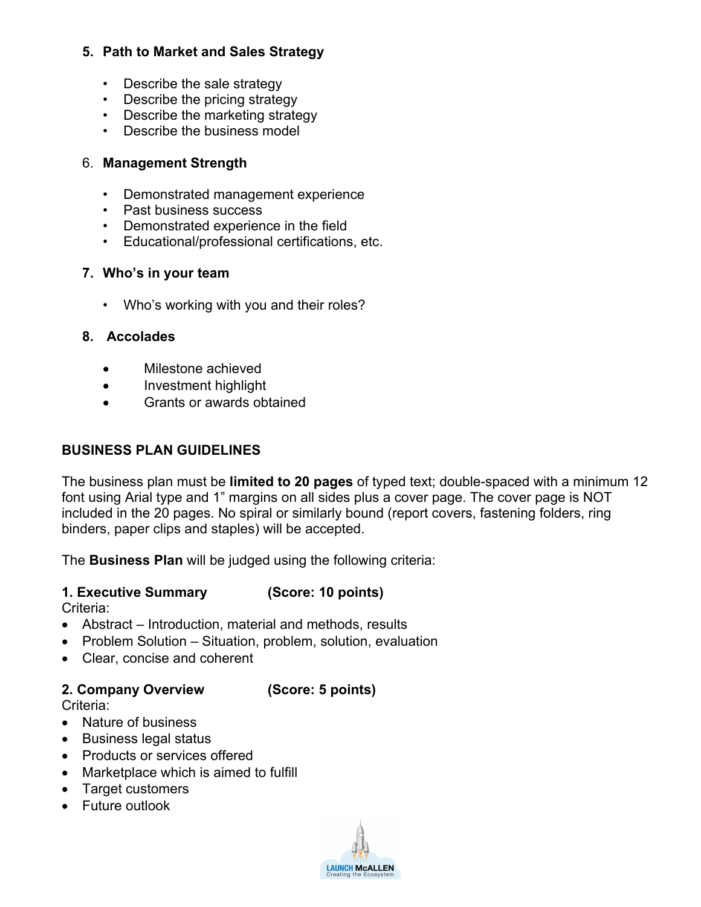## **5. Path to Market and Sales Strategy**

- Describe the sale strategy
- Describe the pricing strategy
- Describe the marketing strategy
- Describe the business model

## 6. **Management Strength**

- Demonstrated management experience
- Past business success
- Demonstrated experience in the field
- Educational/professional certifications, etc.

## **7. Who's in your team**

• Who's working with you and their roles?

## **8. Accolades**

- Milestone achieved
- Investment highlight
- Grants or awards obtained

## **BUSINESS PLAN GUIDELINES**

The business plan must be **limited to 20 pages** of typed text; double-spaced with a minimum 12 font using Arial type and 1" margins on all sides plus a cover page. The cover page is NOT included in the 20 pages. No spiral or similarly bound (report covers, fastening folders, ring binders, paper clips and staples) will be accepted.

The **Business Plan** will be judged using the following criteria:

## **1. Executive Summary (Score: 10 points)**

Criteria:

- Abstract Introduction, material and methods, results
- Problem Solution Situation, problem, solution, evaluation
- Clear, concise and coherent

## **2. Company Overview (Score: 5 points)**

Criteria:

- Nature of business
- Business legal status
- Products or services offered
- Marketplace which is aimed to fulfill
- Target customers
- Future outlook

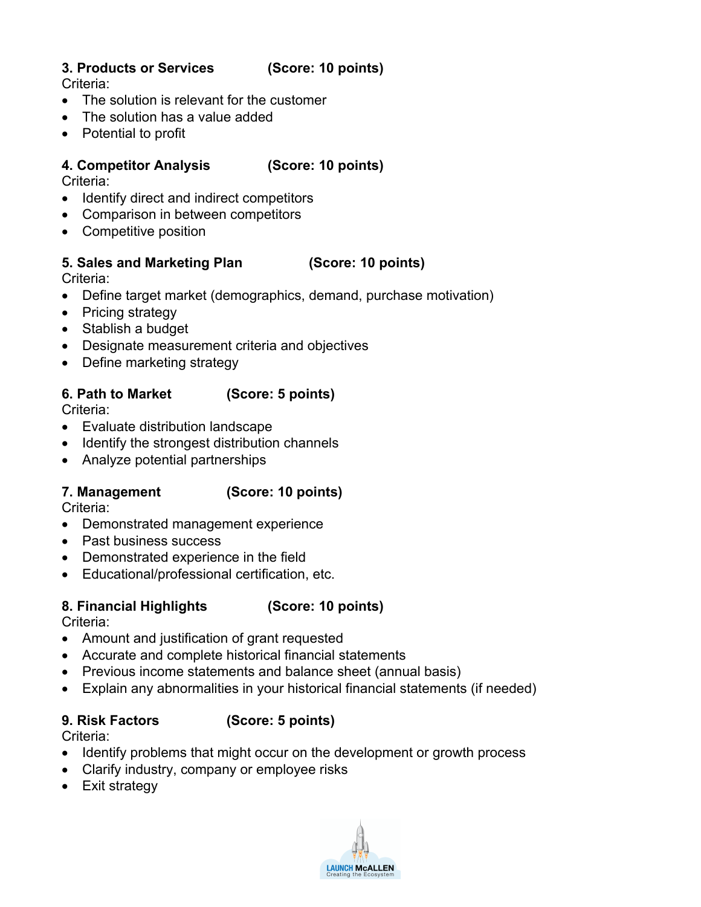## **3. Products or Services (Score: 10 points)**

Criteria:

- The solution is relevant for the customer
- The solution has a value added
- Potential to profit

## **4. Competitor Analysis (Score: 10 points)**

Criteria:

- Identify direct and indirect competitors
- Comparison in between competitors
- Competitive position

## **5. Sales and Marketing Plan (Score: 10 points)**

Criteria:

- Define target market (demographics, demand, purchase motivation)
- Pricing strategy
- Stablish a budget
- Designate measurement criteria and objectives
- Define marketing strategy

## **6. Path to Market (Score: 5 points)**

Criteria:

- Evaluate distribution landscape
- Identify the strongest distribution channels
- Analyze potential partnerships

## **7. Management (Score: 10 points)**

Criteria:

- Demonstrated management experience
- Past business success
- Demonstrated experience in the field
- Educational/professional certification, etc.

## **8. Financial Highlights (Score: 10 points)**

Criteria:

- Amount and justification of grant requested
- Accurate and complete historical financial statements
- Previous income statements and balance sheet (annual basis)
- Explain any abnormalities in your historical financial statements (if needed)

## **9. Risk Factors (Score: 5 points)**

Criteria:

- Identify problems that might occur on the development or growth process
- Clarify industry, company or employee risks
- Exit strategy

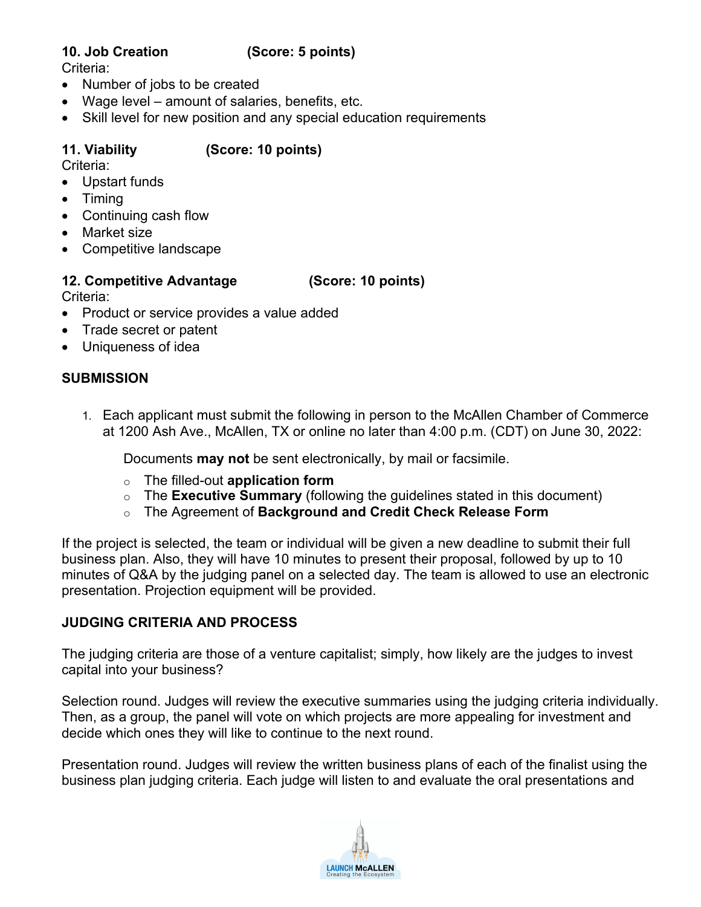## **10. Job Creation (Score: 5 points)**

Criteria:

- Number of jobs to be created
- Wage level amount of salaries, benefits, etc.
- Skill level for new position and any special education requirements

## **11. Viability (Score: 10 points)**

Criteria:

- Upstart funds
- Timing
- Continuing cash flow
- Market size
- Competitive landscape

## **12. Competitive Advantage (Score: 10 points)**

Criteria:

- Product or service provides a value added
- Trade secret or patent
- Uniqueness of idea

## **SUBMISSION**

1. Each applicant must submit the following in person to the McAllen Chamber of Commerce at 1200 Ash Ave., McAllen, TX or online no later than 4:00 p.m. (CDT) on June 30, 2022:

Documents **may not** be sent electronically, by mail or facsimile.

- o The filled-out **application form**
- o The **Executive Summary** (following the guidelines stated in this document)
- o The Agreement of **Background and Credit Check Release Form**

If the project is selected, the team or individual will be given a new deadline to submit their full business plan. Also, they will have 10 minutes to present their proposal, followed by up to 10 minutes of Q&A by the judging panel on a selected day. The team is allowed to use an electronic presentation. Projection equipment will be provided.

## **JUDGING CRITERIA AND PROCESS**

The judging criteria are those of a venture capitalist; simply, how likely are the judges to invest capital into your business?

Selection round. Judges will review the executive summaries using the judging criteria individually. Then, as a group, the panel will vote on which projects are more appealing for investment and decide which ones they will like to continue to the next round.

Presentation round. Judges will review the written business plans of each of the finalist using the business plan judging criteria. Each judge will listen to and evaluate the oral presentations and